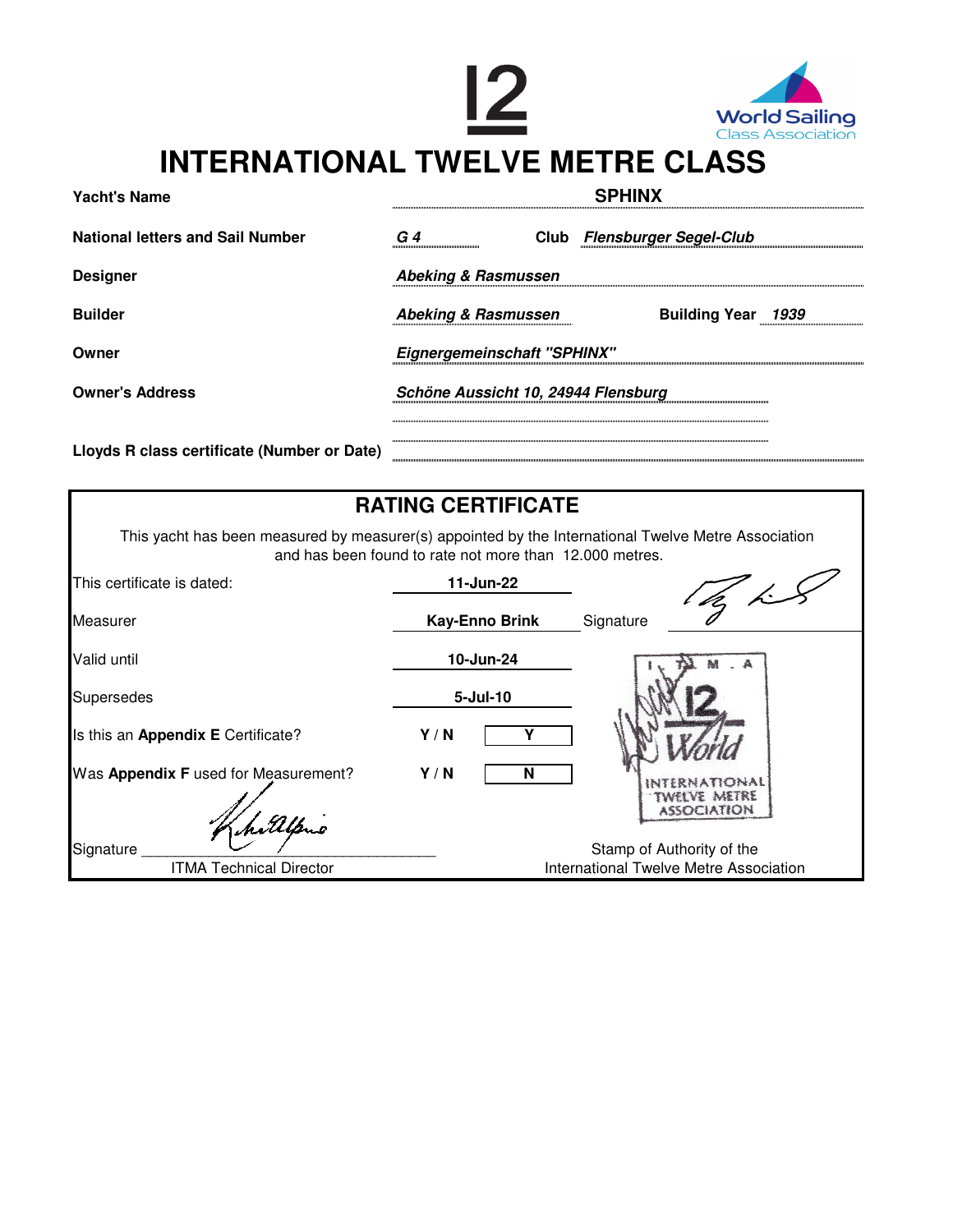



## **INTERNATIONAL TWELVE METRE CLASS**

| <b>Yacht's Name</b>                         | <b>SPHINX</b>                       |  |                             |  |
|---------------------------------------------|-------------------------------------|--|-----------------------------|--|
| <b>National letters and Sail Number</b>     | G 4                                 |  | Club Flensburger Segel-Club |  |
| <b>Designer</b>                             | Abeking & Rasmussen                 |  |                             |  |
| <b>Builder</b>                              | <b>Abeking &amp; Rasmussen</b>      |  | Building Year 1939          |  |
| Owner                                       | <b>Eignergemeinschaft "SPHINX"</b>  |  |                             |  |
| <b>Owner's Address</b>                      | Schöne Aussicht 10, 24944 Flensburg |  |                             |  |
|                                             |                                     |  |                             |  |
| Lloyds R class certificate (Number or Date) |                                     |  |                             |  |
|                                             |                                     |  |                             |  |

|                                                                                                     | <b>RATING CERTIFICATE</b>                               |                           |  |
|-----------------------------------------------------------------------------------------------------|---------------------------------------------------------|---------------------------|--|
| This yacht has been measured by measurer(s) appointed by the International Twelve Metre Association | and has been found to rate not more than 12.000 metres. |                           |  |
| This certificate is dated:                                                                          | 11-Jun-22                                               |                           |  |
| Measurer                                                                                            | <b>Kay-Enno Brink</b>                                   | Signature                 |  |
| Valid until                                                                                         | 10-Jun-24                                               |                           |  |
| <b>Supersedes</b>                                                                                   | $5 -$ Jul $-10$                                         |                           |  |
| Is this an Appendix E Certificate?                                                                  | Y/N                                                     |                           |  |
| Was Appendix F used for Measurement?                                                                | Y/N<br>N                                                | TWELVE METRE              |  |
|                                                                                                     |                                                         | <b>ASSOCIATION</b>        |  |
| Signature                                                                                           |                                                         | Stamp of Authority of the |  |
| <b>ITMA Technical Director</b>                                                                      | International Twelve Metre Association                  |                           |  |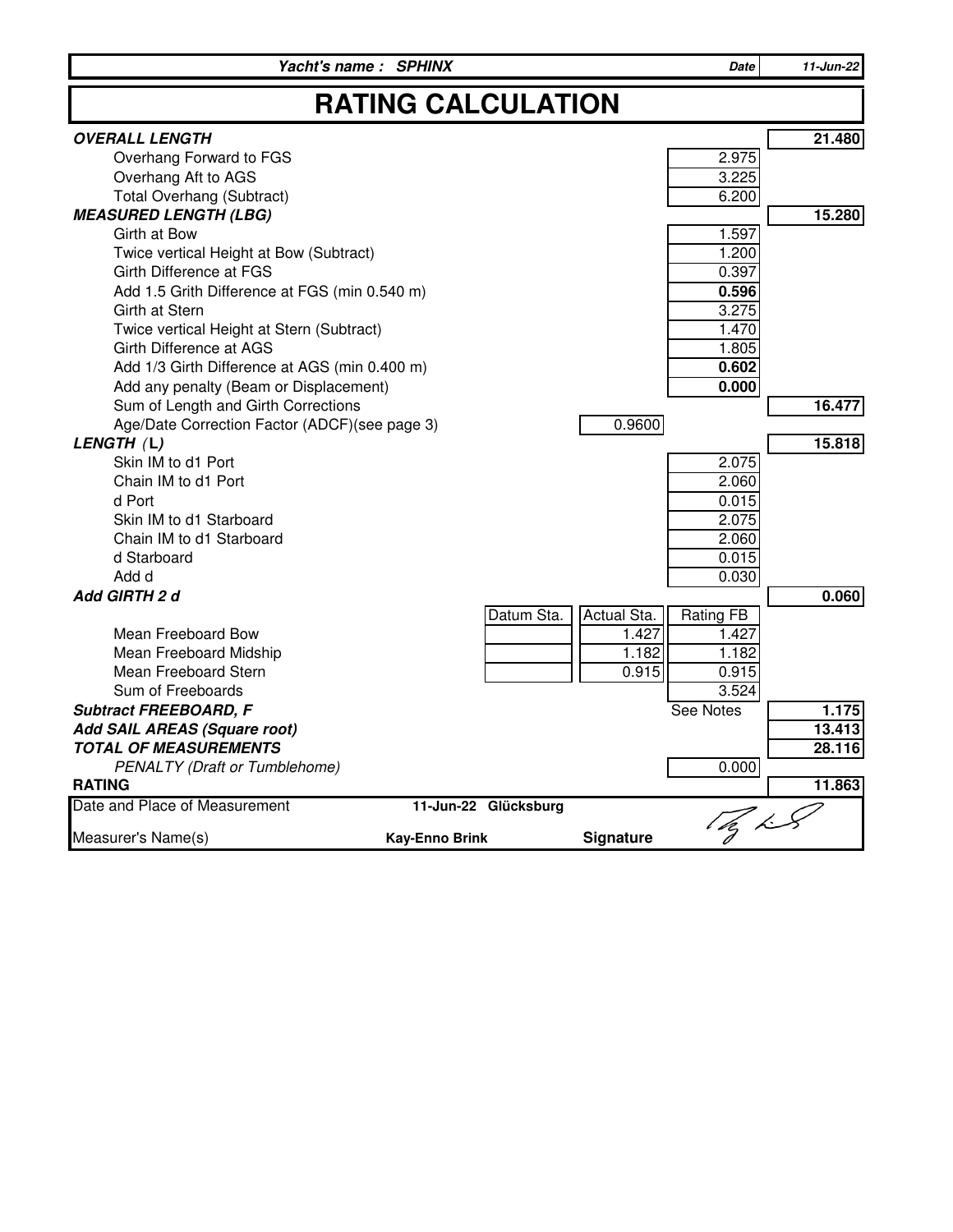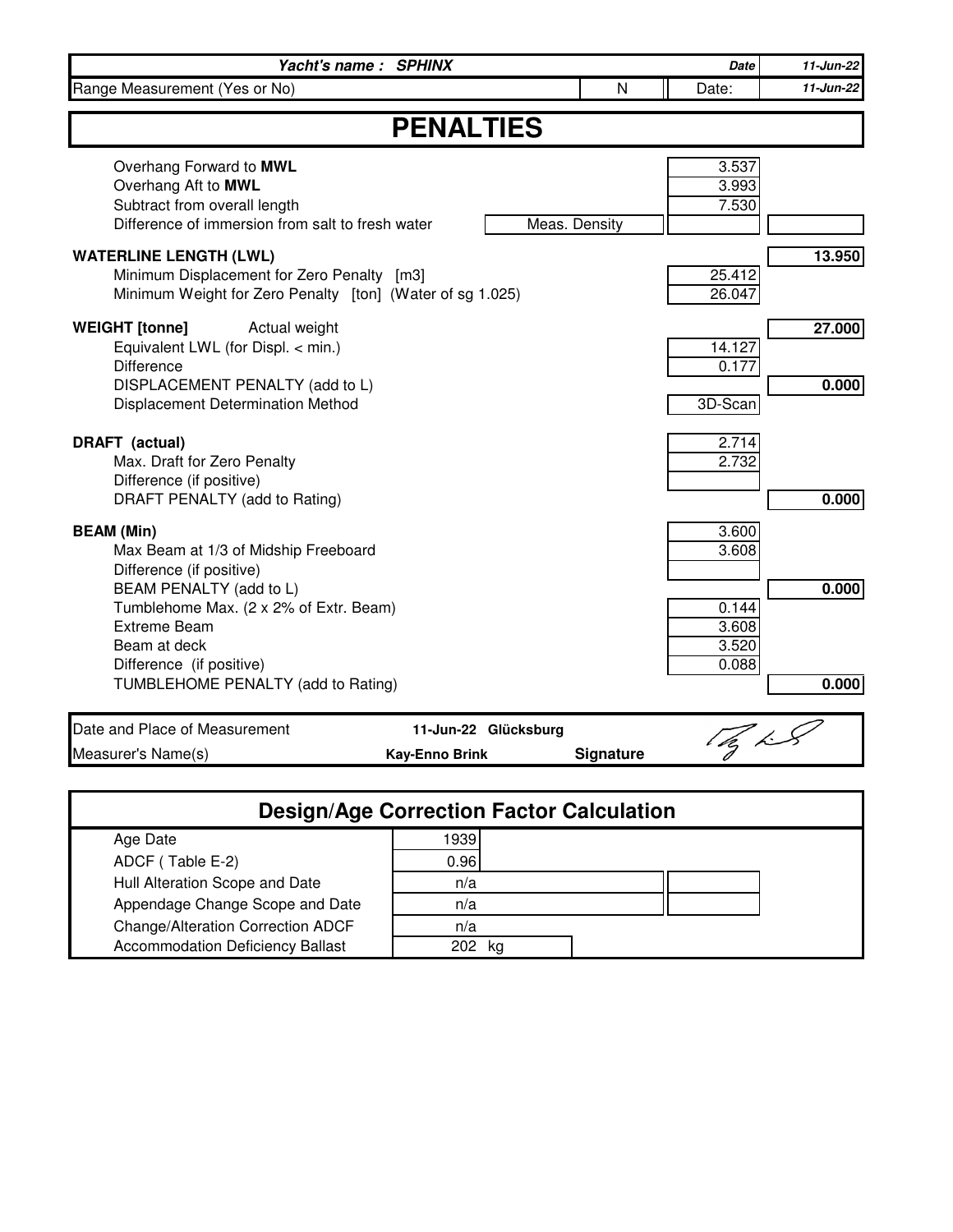|                                                                                                                                                                                                                                                                     | Yacht's name: SPHINX                          |               | Date                                               | 11-Jun-22       |
|---------------------------------------------------------------------------------------------------------------------------------------------------------------------------------------------------------------------------------------------------------------------|-----------------------------------------------|---------------|----------------------------------------------------|-----------------|
| Range Measurement (Yes or No)                                                                                                                                                                                                                                       |                                               | N             | Date:                                              | 11-Jun-22       |
| <b>PENALTIES</b>                                                                                                                                                                                                                                                    |                                               |               |                                                    |                 |
| Overhang Forward to MWL<br>Overhang Aft to MWL<br>Subtract from overall length<br>Difference of immersion from salt to fresh water                                                                                                                                  |                                               | Meas. Density | 3.537<br>3.993<br>7.530                            |                 |
| <b>WATERLINE LENGTH (LWL)</b><br>Minimum Displacement for Zero Penalty [m3]<br>Minimum Weight for Zero Penalty [ton] (Water of sg 1.025)                                                                                                                            |                                               |               | 25.412<br>26.047                                   | 13.950          |
| <b>WEIGHT</b> [tonne]<br>Actual weight<br>Equivalent LWL (for Displ. < min.)<br><b>Difference</b><br>DISPLACEMENT PENALTY (add to L)<br>Displacement Determination Method                                                                                           |                                               |               | 14.127<br>0.177<br>3D-Scan                         | 27.000<br>0.000 |
| <b>DRAFT</b> (actual)<br>Max. Draft for Zero Penalty<br>Difference (if positive)<br>DRAFT PENALTY (add to Rating)                                                                                                                                                   |                                               |               | 2.714<br>2.732                                     | 0.000           |
| <b>BEAM</b> (Min)<br>Max Beam at 1/3 of Midship Freeboard<br>Difference (if positive)<br>BEAM PENALTY (add to L)<br>Tumblehome Max. (2 x 2% of Extr. Beam)<br><b>Extreme Beam</b><br>Beam at deck<br>Difference (if positive)<br>TUMBLEHOME PENALTY (add to Rating) |                                               |               | 3.600<br>3.608<br>0.144<br>3.608<br>3.520<br>0.088 | 0.000<br>0.000  |
| Date and Place of Measurement<br>Measurer's Name(s)                                                                                                                                                                                                                 | 11-Jun-22 Glücksburg<br><b>Kay-Enno Brink</b> | Signature     | $\mathbb{Z}_p$ in $\mathbb{Z}_p$                   |                 |

| <b>Design/Age Correction Factor Calculation</b> |      |  |  |  |  |
|-------------------------------------------------|------|--|--|--|--|
| Age Date                                        | 1939 |  |  |  |  |
| ADCF (Table E-2)                                | 0.96 |  |  |  |  |
| Hull Alteration Scope and Date                  | n/a  |  |  |  |  |
| Appendage Change Scope and Date                 | n/a  |  |  |  |  |
| Change/Alteration Correction ADCF               | n/a  |  |  |  |  |
| <b>Accommodation Deficiency Ballast</b>         | ka   |  |  |  |  |